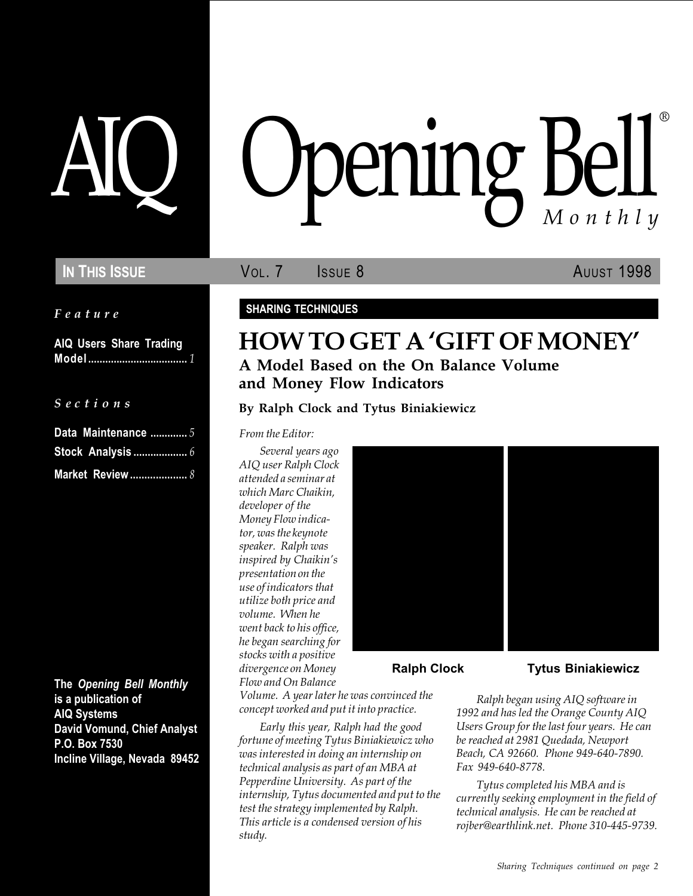Feature

AIQ Users Share Trading Model ................................... 1

 $S$  e c t i o n s

| Data Maintenance  5     |  |
|-------------------------|--|
|                         |  |
| <b>Market Review </b> 8 |  |

The Opening Bell Monthly is a publication of AIQ Systems David Vomund, Chief Analyst P.O. Box 7530 Incline Village, Nevada 89452

# pening Bell ®

**IN THIS ISSUE VOL. 7 ISSUE 8** AUUST 1998

SHARING TECHNIQUES

# HOW TO GET A 'GIFT OF MONEY' A Model Based on the On Balance Volume and Money Flow Indicators

By Ralph Clock and Tytus Biniakiewicz

From the Editor:

Several years ago AIQ user Ralph Clock attended a seminar at which Marc Chaikin, developer of the Money Flow indicator, was the keynote speaker. Ralph was inspired by Chaikin's presentation on the use of indicators that utilize both price and volume. When he went back to his office, he began searching for stocks with a positive divergence on Money Flow and On Balance



Volume. A year later he was convinced the concept worked and put it into practice.

Early this year, Ralph had the good fortune of meeting Tytus Biniakiewicz who was interested in doing an internship on technical analysis as part of an MBA at Pepperdine University. As part of the internship, Tytus documented and put to the test the strategy implemented by Ralph. This article is a condensed version of his study.

Ralph Clock Tytus Biniakiewicz

Ralph began using AIQ software in 1992 and has led the Orange County AIQ Users Group for the last four years. He can be reached at 2981 Quedada, Newport Beach, CA 92660. Phone 949-640-7890. Fax 949-640-8778.

Tytus completed his MBA and is currently seeking employment in the field of technical analysis. He can be reached at rojber@earthlink.net. Phone 310-445-9739.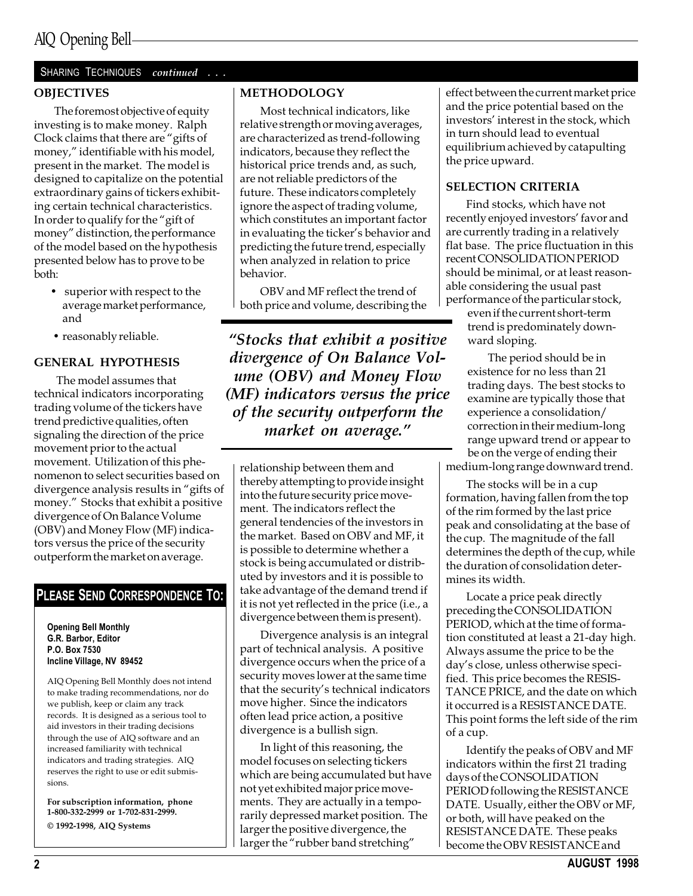#### **OBJECTIVES**

The foremost objective of equity investing is to make money. Ralph Clock claims that there are "gifts of money," identifiable with his model, present in the market. The model is designed to capitalize on the potential extraordinary gains of tickers exhibiting certain technical characteristics. In order to qualify for the "gift of money" distinction, the performance of the model based on the hypothesis presented below has to prove to be both:

- superior with respect to the average market performance, and
- reasonably reliable.

#### GENERAL HYPOTHESIS

 The model assumes that technical indicators incorporating trading volume of the tickers have trend predictive qualities, often signaling the direction of the price movement prior to the actual movement. Utilization of this phenomenon to select securities based on divergence analysis results in "gifts of money." Stocks that exhibit a positive divergence of On Balance Volume (OBV) and Money Flow (MF) indicators versus the price of the security outperform the market on average.

#### PLEASE SEND CORRESPONDENCE TO:

Opening Bell Monthly G.R. Barbor, Editor P.O. Box 7530 Incline Village, NV 89452

AIQ Opening Bell Monthly does not intend to make trading recommendations, nor do we publish, keep or claim any track records. It is designed as a serious tool to aid investors in their trading decisions through the use of AIQ software and an increased familiarity with technical indicators and trading strategies. AIQ reserves the right to use or edit submissions.

For subscription information, phone 1-800-332-2999 or 1-702-831-2999. © 1992-1998, AIQ Systems

#### METHODOLOGY

Most technical indicators, like relative strength or moving averages, are characterized as trend-following indicators, because they reflect the historical price trends and, as such, are not reliable predictors of the future. These indicators completely ignore the aspect of trading volume, which constitutes an important factor in evaluating the ticker's behavior and predicting the future trend, especially when analyzed in relation to price behavior.

OBV and MF reflect the trend of both price and volume, describing the

Stocks that exhibit a positive divergence of On Balance Volume (OBV) and Money Flow (MF) indicators versus the price of the security outperform the market on average."

relationship between them and thereby attempting to provide insight into the future security price movement. The indicators reflect the general tendencies of the investors in the market. Based on OBV and MF, it is possible to determine whether a stock is being accumulated or distributed by investors and it is possible to take advantage of the demand trend if it is not yet reflected in the price (i.e., a divergence between them is present).

Divergence analysis is an integral part of technical analysis. A positive divergence occurs when the price of a security moves lower at the same time that the security's technical indicators move higher. Since the indicators often lead price action, a positive divergence is a bullish sign.

In light of this reasoning, the model focuses on selecting tickers which are being accumulated but have not yet exhibited major price movements. They are actually in a temporarily depressed market position. The larger the positive divergence, the larger the "rubber band stretching"

effect between the current market price and the price potential based on the investors' interest in the stock, which in turn should lead to eventual equilibrium achieved by catapulting the price upward.

#### SELECTION CRITERIA

Find stocks, which have not recently enjoyed investors' favor and are currently trading in a relatively flat base. The price fluctuation in this recent CONSOLIDATION PERIOD should be minimal, or at least reasonable considering the usual past performance of the particular stock,

even if the current short-term trend is predominately downward sloping.

The period should be in existence for no less than 21 trading days. The best stocks to examine are typically those that experience a consolidation/ correction in their medium-long range upward trend or appear to be on the verge of ending their medium-long range downward trend.

The stocks will be in a cup formation, having fallen from the top of the rim formed by the last price peak and consolidating at the base of the cup. The magnitude of the fall determines the depth of the cup, while the duration of consolidation determines its width.

Locate a price peak directly preceding the CONSOLIDATION PERIOD, which at the time of formation constituted at least a 21-day high. Always assume the price to be the day's close, unless otherwise specified. This price becomes the RESIS-TANCE PRICE, and the date on which it occurred is a RESISTANCE DATE. This point forms the left side of the rim of a cup.

Identify the peaks of OBV and MF indicators within the first 21 trading days of the CONSOLIDATION PERIOD following the RESISTANCE DATE. Usually, either the OBV or MF, or both, will have peaked on the RESISTANCE DATE. These peaks become the OBV RESISTANCE and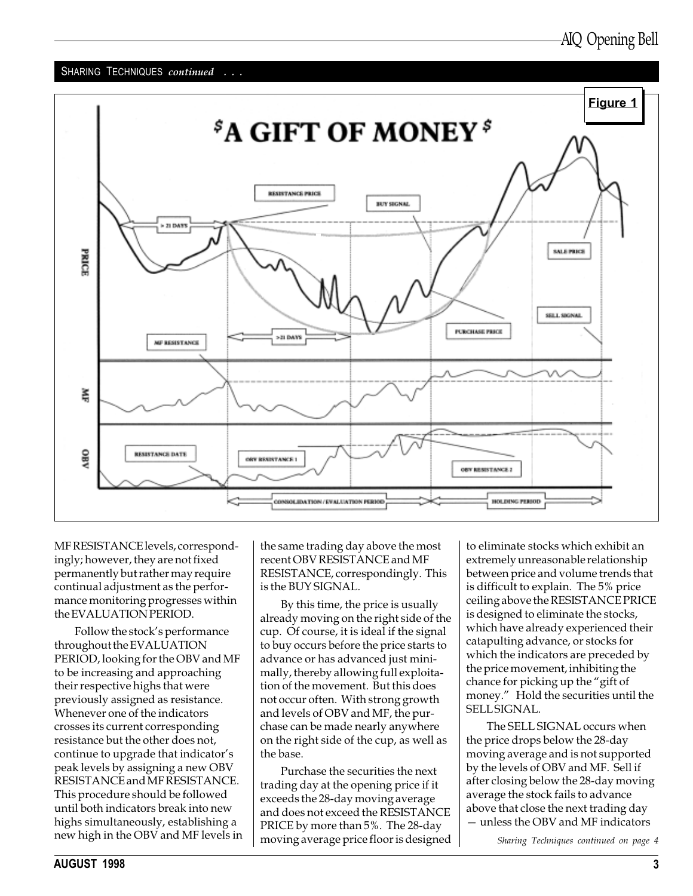

MF RESISTANCE levels, correspondingly; however, they are not fixed permanently but rather may require continual adjustment as the performance monitoring progresses within the EVALUATION PERIOD.

Follow the stock's performance throughout the EVALUATION PERIOD, looking for the OBV and MF to be increasing and approaching their respective highs that were previously assigned as resistance. Whenever one of the indicators crosses its current corresponding resistance but the other does not, continue to upgrade that indicator's peak levels by assigning a new OBV RESISTANCE and MF RESISTANCE. This procedure should be followed until both indicators break into new highs simultaneously, establishing a new high in the OBV and MF levels in

the same trading day above the most recent OBV RESISTANCE and MF RESISTANCE, correspondingly. This is the BUY SIGNAL.

By this time, the price is usually already moving on the right side of the cup. Of course, it is ideal if the signal to buy occurs before the price starts to advance or has advanced just minimally, thereby allowing full exploitation of the movement. But this does not occur often. With strong growth and levels of OBV and MF, the purchase can be made nearly anywhere on the right side of the cup, as well as the base.

Purchase the securities the next trading day at the opening price if it exceeds the 28-day moving average and does not exceed the RESISTANCE PRICE by more than 5%. The 28-day moving average price floor is designed to eliminate stocks which exhibit an extremely unreasonable relationship between price and volume trends that is difficult to explain. The 5% price ceiling above the RESISTANCE PRICE is designed to eliminate the stocks, which have already experienced their catapulting advance, or stocks for which the indicators are preceded by the price movement, inhibiting the chance for picking up the "gift of money." Hold the securities until the SELL SIGNAL.

The SELL SIGNAL occurs when the price drops below the 28-day moving average and is not supported by the levels of OBV and MF. Sell if after closing below the 28-day moving average the stock fails to advance above that close the next trading day - unless the OBV and MF indicators

Sharing Techniques continued on page 4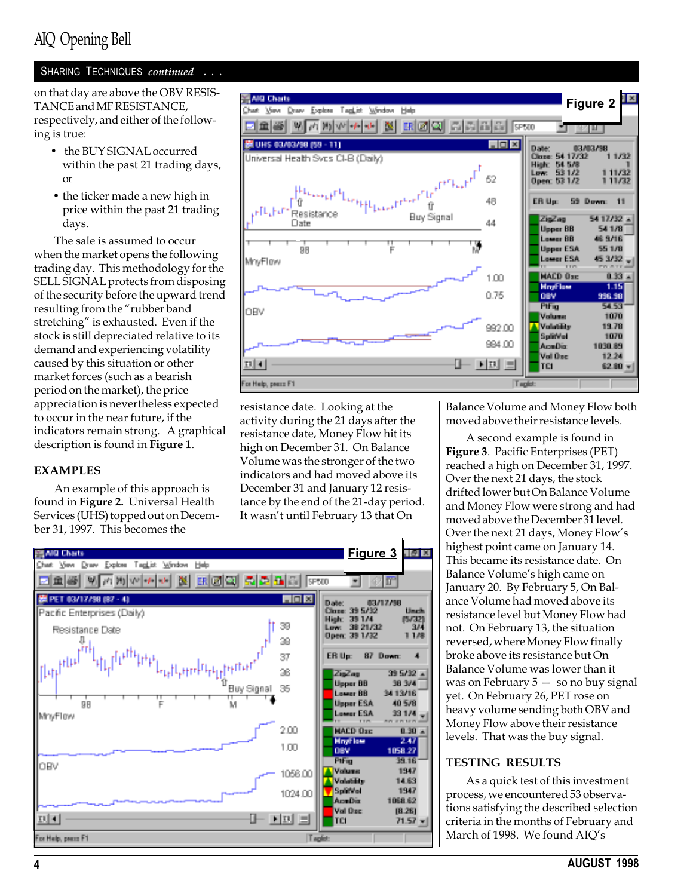on that day are above the OBV RESIS-TANCE and MF RESISTANCE, respectively, and either of the following is true:

- the BUY SIGNAL occurred within the past 21 trading days, or
- the ticker made a new high in price within the past 21 trading days.

The sale is assumed to occur when the market opens the following trading day. This methodology for the SELL SIGNAL protects from disposing of the security before the upward trend resulting from the "rubber band stretching" is exhausted. Even if the stock is still depreciated relative to its demand and experiencing volatility caused by this situation or other market forces (such as a bearish period on the market), the price appreciation is nevertheless expected to occur in the near future, if the indicators remain strong. A graphical description is found in Figure 1.

#### EXAMPLES

An example of this approach is found in **Figure 2.** Universal Health Services (UHS) topped out on December 31, 1997. This becomes the



resistance date. Looking at the activity during the 21 days after the resistance date, Money Flow hit its high on December 31. On Balance Volume was the stronger of the two indicators and had moved above its December 31 and January 12 resistance by the end of the 21-day period. It wasn't until February 13 that On



Balance Volume and Money Flow both moved above their resistance levels.

A second example is found in Figure 3. Pacific Enterprises (PET) reached a high on December 31, 1997. Over the next 21 days, the stock drifted lower but On Balance Volume and Money Flow were strong and had moved above the December 31 level. Over the next 21 days, Money Flow's highest point came on January 14. This became its resistance date. On Balance Volume's high came on January 20. By February 5, On Balance Volume had moved above its resistance level but Money Flow had not. On February 13, the situation reversed, where Money Flow finally broke above its resistance but On Balance Volume was lower than it was on February  $5 - so$  no buy signal yet. On February 26, PET rose on heavy volume sending both OBV and Money Flow above their resistance levels. That was the buy signal.

#### TESTING RESULTS

As a quick test of this investment process, we encountered 53 observations satisfying the described selection criteria in the months of February and March of 1998. We found AIQ's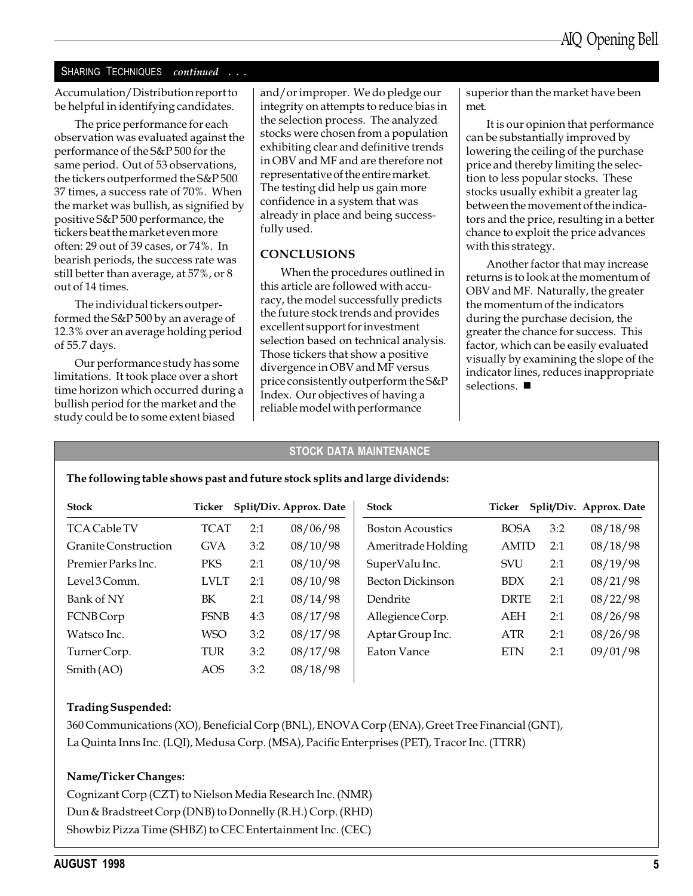Accumulation/Distribution report to be helpful in identifying candidates.

The price performance for each observation was evaluated against the performance of the S&P 500 for the same period. Out of 53 observations, the tickers outperformed the S&P 500 37 times, a success rate of 70%. When the market was bullish, as signified by positive S&P 500 performance, the tickers beat the market even more often: 29 out of 39 cases, or 74%. In bearish periods, the success rate was still better than average, at 57%, or 8 out of 14 times.

The individual tickers outperformed the S&P 500 by an average of 12.3% over an average holding period of 55.7 days.

Our performance study has some limitations. It took place over a short time horizon which occurred during a bullish period for the market and the study could be to some extent biased

and/or improper. We do pledge our integrity on attempts to reduce bias in the selection process. The analyzed stocks were chosen from a population exhibiting clear and definitive trends in OBV and MF and are therefore not representative of the entire market. The testing did help us gain more confidence in a system that was already in place and being successfully used.

#### CONCLUSIONS

When the procedures outlined in this article are followed with accuracy, the model successfully predicts the future stock trends and provides excellent support for investment selection based on technical analysis. Those tickers that show a positive divergence in OBV and MF versus price consistently outperform the S&P Index. Our objectives of having a reliable model with performance

superior than the market have been met.

It is our opinion that performance can be substantially improved by lowering the ceiling of the purchase price and thereby limiting the selection to less popular stocks. These stocks usually exhibit a greater lag between the movement of the indicators and the price, resulting in a better chance to exploit the price advances with this strategy.

Another factor that may increase returns is to look at the momentum of OBV and MF. Naturally, the greater the momentum of the indicators during the purchase decision, the greater the chance for success. This factor, which can be easily evaluated visually by examining the slope of the indicator lines, reduces inappropriate selections.  $\blacksquare$ 

#### STOCK DATA MAINTENANCE

#### The following table shows past and future stock splits and large dividends:

| <b>Stock</b>         | Ticker      |     | Split/Div. Approx. Date | <b>Stock</b>            | Ticker      |     | Split/Div. Approx. Date |
|----------------------|-------------|-----|-------------------------|-------------------------|-------------|-----|-------------------------|
| <b>TCA Cable TV</b>  | <b>TCAT</b> | 2:1 | 08/06/98                | <b>Boston Acoustics</b> | <b>BOSA</b> | 3:2 | 08/18/98                |
| Granite Construction | <b>GVA</b>  | 3:2 | 08/10/98                | Ameritrade Holding      | <b>AMTD</b> | 2:1 | 08/18/98                |
| Premier Parks Inc.   | <b>PKS</b>  | 2:1 | 08/10/98                | SuperValu Inc.          | <b>SVU</b>  | 2:1 | 08/19/98                |
| Level3Comm.          | <b>LVLT</b> | 2:1 | 08/10/98                | <b>Becton Dickinson</b> | <b>BDX</b>  | 2:1 | 08/21/98                |
| Bank of NY           | BK          | 2:1 | 08/14/98                | Dendrite                | <b>DRTE</b> | 2:1 | 08/22/98                |
| <b>FCNBCorp</b>      | <b>FSNB</b> | 4:3 | 08/17/98                | Allegience Corp.        | AEH         | 2:1 | 08/26/98                |
| Watsco Inc.          | <b>WSO</b>  | 3:2 | 08/17/98                | Aptar Group Inc.        | <b>ATR</b>  | 2:1 | 08/26/98                |
| Turner Corp.         | TUR         | 3:2 | 08/17/98                | <b>Eaton Vance</b>      | <b>ETN</b>  | 2:1 | 09/01/98                |
| Smith(AO)            | AOS         | 3:2 | 08/18/98                |                         |             |     |                         |

#### Trading Suspended:

360 Communications (XO), Beneficial Corp (BNL), ENOVA Corp (ENA), Greet Tree Financial (GNT), La Quinta Inns Inc. (LQI), Medusa Corp. (MSA), Pacific Enterprises (PET), Tracor Inc. (TTRR)

#### Name/Ticker Changes:

Cognizant Corp (CZT) to Nielson Media Research Inc. (NMR) Dun & Bradstreet Corp (DNB) to Donnelly (R.H.) Corp. (RHD) Showbiz Pizza Time (SHBZ) to CEC Entertainment Inc. (CEC)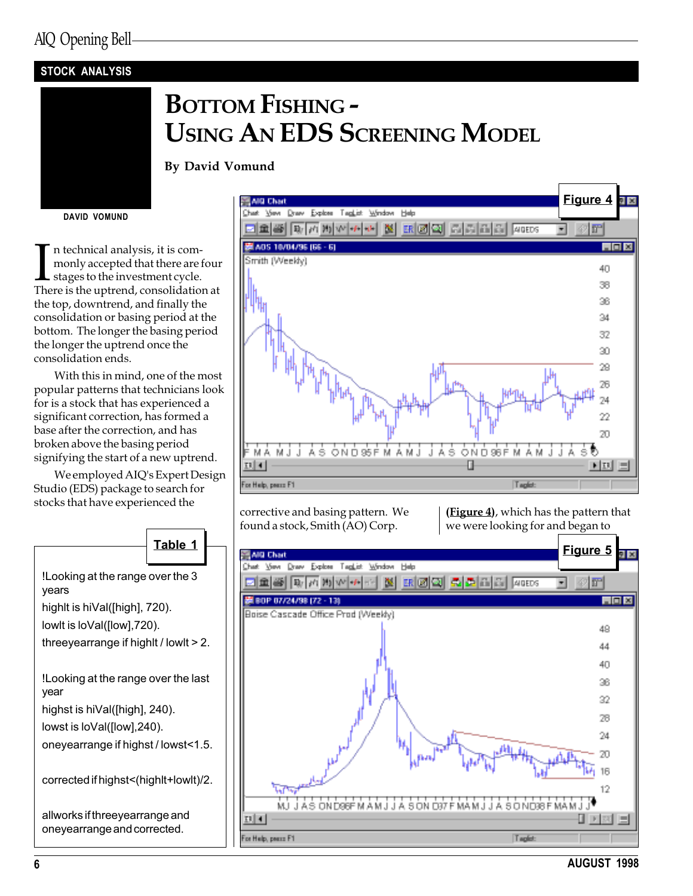## STOCK ANALYSIS

# BOTTOM FISHING - USING AN EDS SCREENING MODEL

By David Vomund

DAVID VOMUND

In technical analysis, it is com-<br>monly accepted that there are four<br>stages to the investment cycle.<br>There is the uptrend, consolidation at n technical analysis, it is commonly accepted that there are four stages to the investment cycle. the top, downtrend, and finally the consolidation or basing period at the bottom. The longer the basing period the longer the uptrend once the consolidation ends.

With this in mind, one of the most popular patterns that technicians look for is a stock that has experienced a significant correction, has formed a base after the correction, and has broken above the basing period signifying the start of a new uptrend.

We employed AIQ's Expert Design Studio (EDS) package to search for stocks that have experienced the corrective and basing pattern. We



found a stock, Smith (AO) Corp.

(Figure 4), which has the pattern that we were looking for and began to



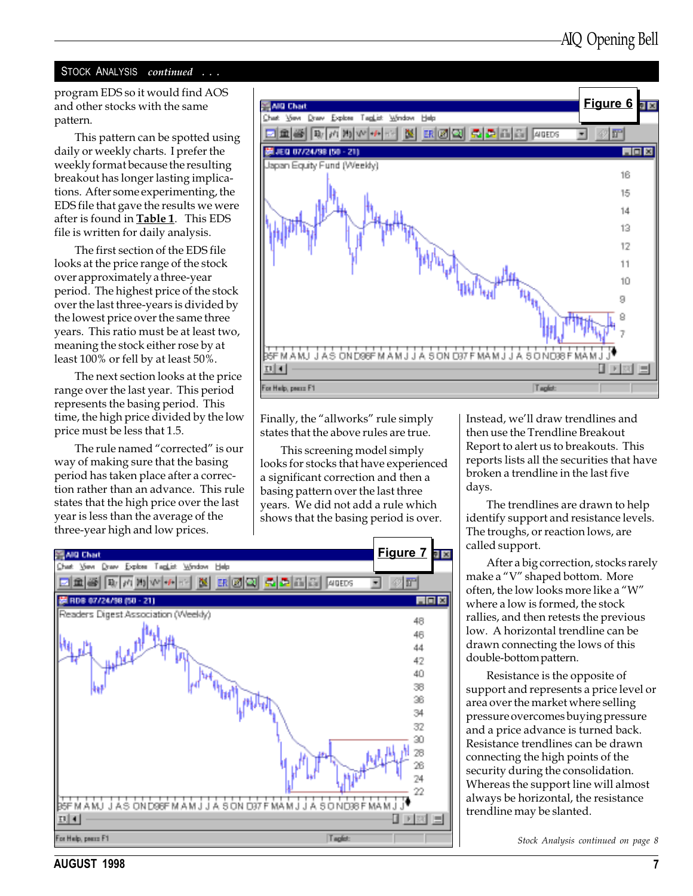#### STOCK ANALYSIS continued . . .

program EDS so it would find AOS and other stocks with the same pattern.

This pattern can be spotted using daily or weekly charts. I prefer the weekly format because the resulting breakout has longer lasting implications. After some experimenting, the EDS file that gave the results we were after is found in **Table 1**. This EDS file is written for daily analysis.

The first section of the EDS file looks at the price range of the stock over approximately a three-year period. The highest price of the stock over the last three-years is divided by the lowest price over the same three years. This ratio must be at least two, meaning the stock either rose by at least 100% or fell by at least 50%.

The next section looks at the price range over the last year. This period represents the basing period. This time, the high price divided by the low price must be less that 1.5.

The rule named "corrected" is our way of making sure that the basing period has taken place after a correction rather than an advance. This rule states that the high price over the last year is less than the average of the three-year high and low prices.



Finally, the "allworks" rule simply states that the above rules are true.

This screening model simply looks for stocks that have experienced a significant correction and then a basing pattern over the last three years. We did not add a rule which shows that the basing period is over.



Instead, we'll draw trendlines and then use the Trendline Breakout Report to alert us to breakouts. This reports lists all the securities that have broken a trendline in the last five days.

The trendlines are drawn to help identify support and resistance levels. The troughs, or reaction lows, are called support.

After a big correction, stocks rarely make a "V" shaped bottom. More often, the low looks more like a "W" where a low is formed, the stock rallies, and then retests the previous low. A horizontal trendline can be drawn connecting the lows of this double-bottom pattern.

Resistance is the opposite of support and represents a price level or area over the market where selling pressure overcomes buying pressure and a price advance is turned back. Resistance trendlines can be drawn connecting the high points of the security during the consolidation. Whereas the support line will almost always be horizontal, the resistance trendline may be slanted.

Stock Analysis continued on page 8